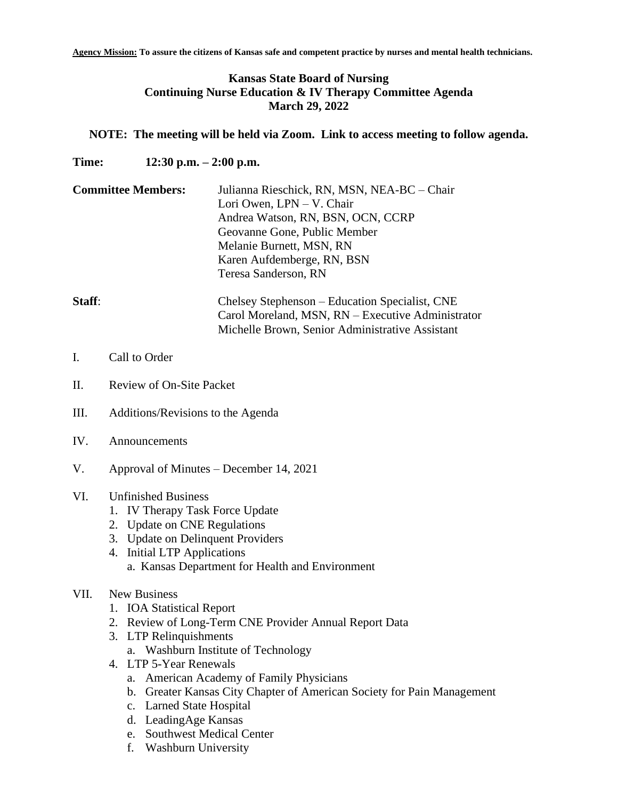## **Kansas State Board of Nursing Continuing Nurse Education & IV Therapy Committee Agenda March 29, 2022**

## **NOTE: The meeting will be held via Zoom. Link to access meeting to follow agenda.**

- **Time: 12:30 p.m. – 2:00 p.m.**
- **Committee Members:** Julianna Rieschick, RN, MSN, NEA-BC Chair Lori Owen, LPN – V. Chair Andrea Watson, RN, BSN, OCN, CCRP Geovanne Gone, Public Member Melanie Burnett, MSN, RN Karen Aufdemberge, RN, BSN Teresa Sanderson, RN

**Staff:** Chelsey Stephenson – Education Specialist, CNE Carol Moreland, MSN, RN – Executive Administrator Michelle Brown, Senior Administrative Assistant

- I. Call to Order
- II. Review of On-Site Packet
- III. Additions/Revisions to the Agenda
- IV. Announcements
- V. Approval of Minutes December 14, 2021

## VI. Unfinished Business

- 1. IV Therapy Task Force Update
- 2. Update on CNE Regulations
- 3. Update on Delinquent Providers
- 4. Initial LTP Applications a. Kansas Department for Health and Environment

## VII. New Business

- 1. IOA Statistical Report
- 2. Review of Long-Term CNE Provider Annual Report Data
- 3. LTP Relinquishments
	- a. Washburn Institute of Technology
- 4. LTP 5-Year Renewals
	- a. American Academy of Family Physicians
	- b. Greater Kansas City Chapter of American Society for Pain Management
	- c. Larned State Hospital
	- d. LeadingAge Kansas
	- e. Southwest Medical Center
	- f. Washburn University